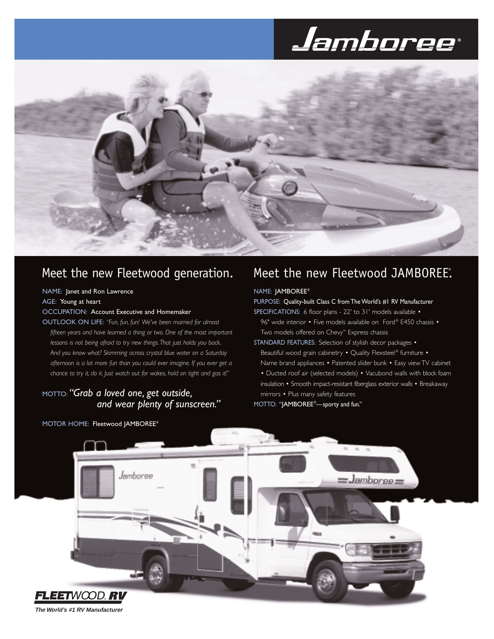# Jamboree®



# Meet the new Fleetwood generation.

### NAME: Janet and Ron Lawrence

AGE: Young at heart

### OCCUPATION: Account Executive and Homemaker

OUTLOOK ON LIFE: *"Fun, fun, fun! We've been married for almost fifteen years and have learned a thing or two. One of the most important lessons is not being afraid to try new things.That just holds you back. And you know what? Skimming across crystal blue water on a Saturday afternoon is a lot more fun than you could ever imagine. If you ever get a chance to try it, do it. Just watch out for wakes, hold on tight and gas it!"*

## MOTTO: *"Grab a loved one, get outside, and wear plenty of sunscreen."*

MOTOR HOME: Fleetwood JAMBOREE®

# Meet the new Fleetwood JAMBOREE.

### NAME: JAMBOREE®

### PURPOSE: Quality-built Class C from The World's #1 RV Manufacturer

SPECIFICATIONS: 6 floor plans - 22' to 31' models available • 96" wide interior • Five models available on Ford® F450 chassis • Two models offered on Chevy™ Express chassis

STANDARD FEATURES: Selection of stylish decor packages • Beautiful wood grain cabinetry • Quality Flexsteel® furniture • Name brand appliances • Patented slider bunk • Easy view TV cabinet • Ducted roof air (selected models) • Vacubond walls with block foam insulation • Smooth impact-resistant fiberglass exterior walls • Breakaway mirrors • Plus many safety features

MOTTO: "JAMBOREE® —sporty and fun."



**The World's #1 RV Manufacturer**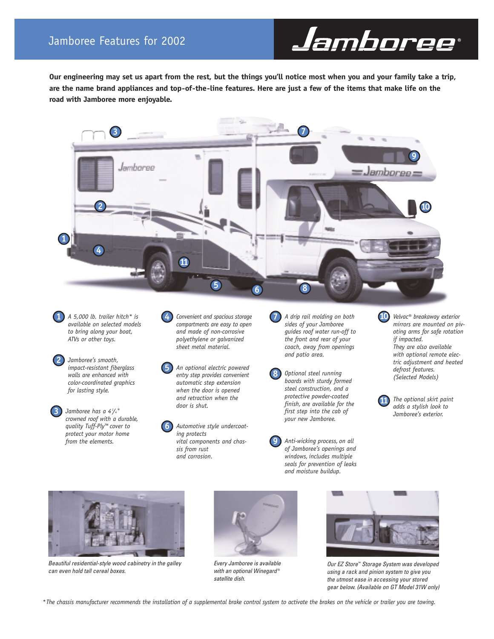**Our engineering may set us apart from the rest, but the things you'll notice most when you and your family take a trip, are the name brand appliances and top-of-the-line features. Here are just a few of the items that make life on the road with Jamboree more enjoyable.**



**7**

**8**

**9**

*A 5,000 lb. trailer hitch\* is available on selected models to bring along your boat, ATVs or other toys.* **1**



*Jamboree has a 41 /4" crowned roof with a durable, quality Tuff-Ply™ cover to protect your motor home from the elements.*

**3**

- *Convenient and spacious storage compartments are easy to open and made of non-corrosive polyethylene or galvanized sheet metal material.* **4**
- *An optional electric powered entry step provides convenient automatic step extension when the door is opened and retraction when the door is shut.* **5**
	- *Automotive style undercoating protects vital components and chassis from rust and corrosion.*

**6**

- *A drip rail molding on both sides of your Jamboree guides roof water run-off to the front and rear of your coach, away from openings and patio area.*
- *Optional steel running boards with sturdy formed steel construction, and a protective powder-coated finish, are available for the first step into the cab of your new Jamboree.*

*Anti-wicking process, on all of Jamboree's openings and windows, includes multiple seals for prevention of leaks and moisture buildup.*

*Velvac® breakaway exterior* **10** *mirrors are mounted on pivoting arms for safe rotation if impacted. They are also available with optional remote electric adjustment and heated defrost features. (Selected Models)*





*Beautiful residential-style wood cabinetry in the galley can even hold tall cereal boxes.*



*Every Jamboree is available with an optional Winegard* ® *satellite dish.*



Jamboree®

*Our EZ Store™ Storage System was developed using a rack and pinion system to give you the utmost ease in accessing your stored gear below. (Available on GT Model 31W only)*

*\*The chassis manufacturer recommends the installation of a supplemental brake control system to activate the brakes on the vehicle or trailer you are towing.*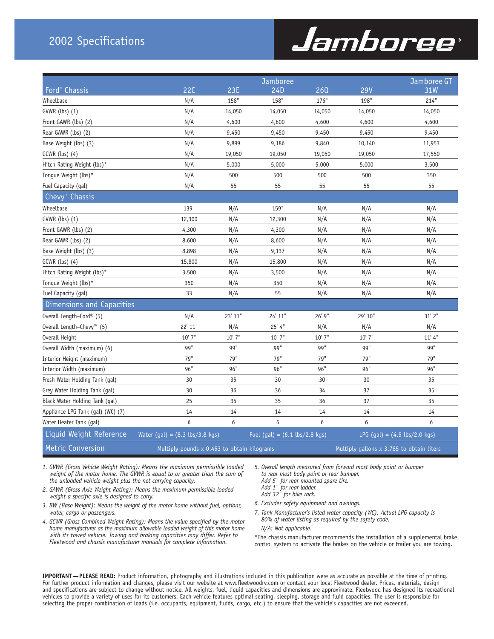# 2002 Specifications

# Jamboree®

|                                       |                                                    |            | Jamboree                                        |                |                                           | Jamboree GT                                    |  |
|---------------------------------------|----------------------------------------------------|------------|-------------------------------------------------|----------------|-------------------------------------------|------------------------------------------------|--|
| Ford <sup>®</sup> Chassis             | <b>22C</b>                                         | <b>23E</b> | 24D                                             | <b>26Q</b>     | <b>29V</b>                                | 31W                                            |  |
| Wheelbase                             | N/A                                                | 158"       | 158"                                            | 176"           | 198"                                      | 214"                                           |  |
| GVWR (lbs) (1)                        | N/A                                                | 14,050     | 14,050                                          | 14,050         | 14,050                                    | 14,050                                         |  |
| Front GAWR (lbs) (2)                  | N/A                                                | 4,600      | 4,600                                           | 4,600          | 4,600                                     | 4,600                                          |  |
| Rear GAWR (lbs) (2)                   | N/A                                                | 9,450      | 9,450                                           | 9,450<br>9,450 |                                           | 9,450                                          |  |
| Base Weight (lbs) (3)                 | N/A                                                | 9,899      | 9,186                                           | 9,840          | 10,140                                    | 11,953                                         |  |
| GCWR (lbs) (4)                        | N/A                                                | 19,050     | 19,050                                          | 19,050         | 19,050                                    | 17,550                                         |  |
| Hitch Rating Weight (lbs)*            | N/A                                                | 5,000      | 5,000                                           | 5,000<br>5,000 |                                           | 3,500                                          |  |
| Tongue Weight (lbs)*                  | N/A                                                | 500        | 500                                             | 500            | 500                                       | 350                                            |  |
| Fuel Capacity (gal)                   | N/A                                                | 55         | 55                                              | 55<br>55       |                                           | 55                                             |  |
| Chevy <sup>™</sup> Chassis            |                                                    |            |                                                 |                |                                           |                                                |  |
| Wheelbase                             | 139"                                               | N/A        | 159"                                            | N/A            | N/A                                       | N/A                                            |  |
| GVWR (lbs) (1)                        | 12,300                                             | N/A        | 12,300                                          | N/A            | N/A                                       | N/A                                            |  |
| Front GAWR (lbs) (2)                  | 4,300                                              | N/A        | 4,300                                           | N/A            | N/A                                       | N/A                                            |  |
| Rear GAWR (lbs) (2)                   | 8,600                                              | N/A        | 8,600                                           | N/A            | N/A                                       | N/A                                            |  |
| Base Weight (lbs) (3)                 | 8,898                                              | N/A        | 9,137                                           | N/A            | N/A                                       | N/A                                            |  |
| GCWR (lbs) (4)                        | 15,800                                             | N/A        | 15,800                                          | N/A            | N/A                                       | N/A                                            |  |
| Hitch Rating Weight (lbs)*            | 3,500                                              | N/A        | 3,500                                           | N/A            | N/A                                       | N/A                                            |  |
| Tongue Weight (lbs)*                  | 350                                                | N/A        | 350                                             | N/A            | N/A                                       | N/A                                            |  |
| Fuel Capacity (gal)                   | 33                                                 | N/A        | 55                                              | N/A            | N/A                                       | N/A                                            |  |
| Dimensions and Capacities             |                                                    |            |                                                 |                |                                           |                                                |  |
| Overall Length-Ford® (5)              | N/A                                                | 23' 11"    | 24' 11"                                         | 26' 9"         | 29' 10"                                   | 31' 2"                                         |  |
| Overall Length-Chevy <sup>™</sup> (5) | 22' 11"                                            | N/A        | 25' 4''                                         | N/A<br>N/A     |                                           | N/A                                            |  |
| Overall Height                        | $10'$ 7"                                           | $10'$ 7"   | $10'$ 7"                                        | $10'$ 7"       | $10'$ 7"                                  | 11' 4''                                        |  |
| Overall Width (maximum) (6)           | 99"                                                | 99"        | 99"                                             | 99"            | 99"                                       | 99"                                            |  |
| Interior Height (maximum)             | 79"                                                | 79"        | 79"                                             | 79"            | 79"                                       | 79"                                            |  |
| Interior Width (maximum)              | 96"                                                | 96"        | 96"                                             | 96"            | 96"                                       | 96"                                            |  |
| Fresh Water Holding Tank (gal)        | 30                                                 | 35         | 30                                              | 30             | 30                                        | 35                                             |  |
| Grey Water Holding Tank (gal)         | 30                                                 | 36         | 36                                              | 34             | 37                                        | 35                                             |  |
| Black Water Holding Tank (gal)        | 25                                                 | 35         | 35                                              | 36             | 37                                        | 35                                             |  |
| Appliance LPG Tank (gal) (WC) (7)     | 14                                                 | 14         | 14                                              | 14             | 14                                        | 14                                             |  |
| Water Heater Tank (gal)               | 6                                                  | 6          | 6                                               | 6              | 6                                         | 6                                              |  |
| Liquid Weight Reference               | Water (gal) = $(8.3 \text{ lbs}/3.8 \text{ kg})$   |            | Fuel (gal) = $(6.1 \text{ lbs}/2.8 \text{ kg})$ |                |                                           | LPG $(gal) = (4.5 \text{ lbs}/2.0 \text{ kg})$ |  |
| <b>Metric Conversion</b>              | Multiply pounds $\times$ 0.453 to obtain kilograms |            |                                                 |                | Multiply gallons x 3.785 to obtain liters |                                                |  |

*1. GVWR (Gross Vehicle Weight Rating): Means the maximum permissible loaded weight of the motor home. The GVWR is equal to or greater than the sum of the unloaded vehicle weight plus the net carrying capacity.*

- *2. GAWR (Gross Axle Weight Rating): Means the maximum permissible loaded weight a specific axle is designed to carry.*
- *3. BW (Base Weight): Means the weight of the motor home without fuel, options, water, cargo or passengers.*
- *4. GCWR (Gross Combined Weight Rating): Means the value specified by the motor home manufacturer as the maximum allowable loaded weight of this motor home with its towed vehicle. Towing and braking capacities may differ. Refer to Fleetwood and chassis manufacturer manuals for complete information.*

*5. Overall length measured from forward most body point or bumper to rear most body point or rear bumper.*

- *Add 5" for rear mounted spare tire. Add 1" for rear ladder.*
- *Add 32" for bike rack.*
- *6. Excludes safety equipment and awnings.*
- *7. Tank Manufacturer's listed water capacity (WC). Actual LPG capacity is 80% of water listing as required by the safety code. N/A: Not applicable.*

\*The chassis manufacturer recommends the installation of a supplemental brake control system to activate the brakes on the vehicle or trailer you are towing.

**IMPORTANT—PLEASE READ:** Product information, photography and illustrations included in this publication were as accurate as possible at the time of printing. For further product information and changes, please visit our website at www.fleetwoodrv.com or contact your local Fleetwood dealer. Prices, materials, design and specifications are subject to change without notice. All weights, fuel, liquid capacities and dimensions are approximate. Fleetwood has designed its recreational vehicles to provide a variety of uses for its customers. Each vehicle features optimal seating, sleeping, storage and fluid capacities. The user is responsible for selecting the proper combination of loads (i.e. occupants, equipment, fluids, cargo, etc.) to ensure that the vehicle's capacities are not exceeded.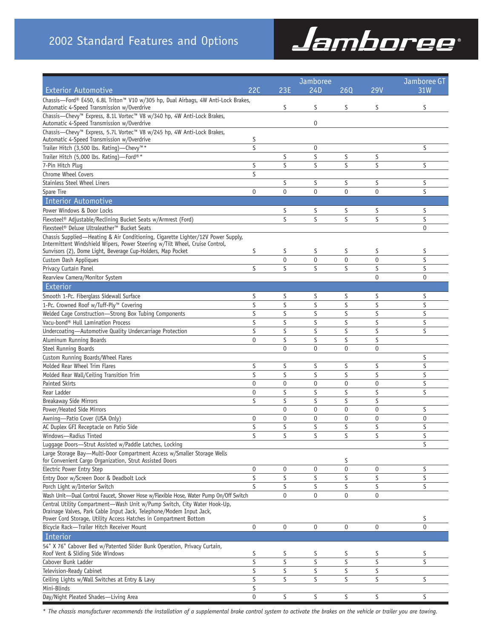

|                                                                                                                                             |                | Jamboree         | Jamboree GT      |                   |                |                |
|---------------------------------------------------------------------------------------------------------------------------------------------|----------------|------------------|------------------|-------------------|----------------|----------------|
| <b>Exterior Automotive</b>                                                                                                                  | 22C            | 23E              | 24D              | 260               | <b>29V</b>     | 31W            |
| Chassis-Ford® E450, 6.8L Triton™ V10 w/305 hp, Dual Airbags, 4W Anti-Lock Brakes,                                                           |                |                  |                  |                   |                |                |
| Automatic 4-Speed Transmission w/Overdrive                                                                                                  |                | S                | S                | S                 | S              | S              |
| Chassis-Chevy™ Express, 8.1L Vortec™ V8 w/340 hp, 4W Anti-Lock Brakes,                                                                      |                |                  |                  |                   |                |                |
| Automatic 4-Speed Transmission w/Overdrive<br>Chassis-Chevy™ Express, 5.7L Vortec™ V8 w/245 hp, 4W Anti-Lock Brakes,                        |                |                  | 0                |                   |                |                |
| Automatic 4-Speed Transmission w/Overdrive                                                                                                  | S              |                  |                  |                   |                |                |
| Trailer Hitch (3,500 lbs. Rating)—Chevy™*                                                                                                   | S              |                  | $\pmb{0}$        |                   |                | S              |
| Trailer Hitch (5,000 lbs. Rating)-Ford®*                                                                                                    |                | S                | S                | S                 | S              |                |
| 7-Pin Hitch Plug                                                                                                                            | S              | S                | S                | S                 | S              | S              |
| Chrome Wheel Covers                                                                                                                         | S              |                  |                  |                   |                |                |
| <b>Stainless Steel Wheel Liners</b>                                                                                                         |                | S                | S                | S                 | S              | S              |
| Spare Tire                                                                                                                                  | 0              | $\mathbf 0$      | $\mathbf 0$      | $\mathbf 0$       | 0              | S              |
| Interior Automotive                                                                                                                         |                |                  |                  |                   |                |                |
| Power Windows & Door Locks                                                                                                                  |                | S                | S                | S                 | S              | S              |
| Flexsteel <sup>®</sup> Adjustable/Reclining Bucket Seats w/Armrest (Ford)                                                                   |                | S                | S                | S                 | S              | S              |
| Flexsteel® Deluxe Ultraleather™ Bucket Seats                                                                                                |                |                  |                  |                   |                | 0              |
| Chassis Supplied-Heating & Air Conditioning, Cigarette Lighter/12V Power Supply,                                                            |                |                  |                  |                   |                |                |
| Intermittent Windshield Wipers, Power Steering w/Tilt Wheel, Cruise Control,<br>Sunvisors (2), Dome Light, Beverage Cup-Holders, Map Pocket | S              | S                | S                | S                 | S              | S              |
| Custom Dash Appliques                                                                                                                       |                | $\mathbf 0$      | $\mathbf 0$      | $\mathbf 0$       | $\mathbf 0$    | S              |
| Privacy Curtain Panel                                                                                                                       | S              | S                | S                | S                 | S              | S              |
| Rearview Camera/Monitor System                                                                                                              |                |                  |                  |                   | $\mathbf{0}$   | $\mathbf 0$    |
| Exterior                                                                                                                                    |                |                  |                  |                   |                |                |
| Smooth 1-Pc. Fiberglass Sidewall Surface                                                                                                    | S              | S                | S                | S                 | S              | S              |
| 1-Pc. Crowned Roof w/Tuff-Ply™ Covering                                                                                                     | S              | S                | S                | S                 | S              | S              |
| Welded Cage Construction-Strong Box Tubing Components                                                                                       | S              | S                | S                | S                 | S              | S              |
| Vacu-bond® Hull Lamination Process                                                                                                          | S              | S                | S                | S                 | S              | S              |
| Undercoating-Automotive Quality Undercarriage Protection                                                                                    | S              | S                | S                | S                 | S              | S              |
| Aluminum Running Boards                                                                                                                     | 0              | S                | S                | S                 | S              |                |
| Steel Running Boards                                                                                                                        |                | $\mathbf 0$      | 0                | $\mathbf 0$       | 0              |                |
| Custom Running Boards/Wheel Flares                                                                                                          |                |                  |                  |                   |                | S              |
| Molded Rear Wheel Trim Flares                                                                                                               | S              | S                | S                | S                 | S              | S              |
| Molded Rear Wall/Ceiling Transition Trim                                                                                                    | S              | S                | S                | S                 | S              | S              |
| <b>Painted Skirts</b>                                                                                                                       | 0              | $\mathbf 0$      | 0                | $\mathbf 0$       | $\mathbf 0$    | S              |
| Rear Ladder                                                                                                                                 | 0              | S                | S                | S                 | S              | S              |
| <b>Breakaway Side Mirrors</b><br>Power/Heated Side Mirrors                                                                                  | S              | S<br>$\mathbf 0$ | S<br>$\mathbf 0$ | S<br>$\mathbf{0}$ | S<br>0         | S              |
| Awning-Patio Cover (USA Only)                                                                                                               | $\mathbf 0$    | $\mathbf 0$      | $\mathbf 0$      | $\mathbf 0$       | $\overline{0}$ | $\mathbf 0$    |
| AC Duplex GFI Receptacle on Patio Side                                                                                                      | S              | S                | S                | S                 | S              | S              |
| Windows-Radius Tinted                                                                                                                       | S              | S                | S                | S                 | S              | S              |
| Luggage Doors-Strut Assisted w/Paddle Latches, Locking                                                                                      |                |                  |                  |                   |                | S              |
| Large Storage Bay-Multi-Door Compartment Access w/Smaller Storage Wells                                                                     |                |                  |                  |                   |                |                |
| for Convenient Cargo Organization, Strut Assisted Doors                                                                                     |                |                  |                  | S                 |                |                |
| Electric Power Entry Step                                                                                                                   | 0              | 0                | 0                | $\boldsymbol{0}$  | 0              | S              |
| Entry Door w/Screen Door & Deadbolt Lock                                                                                                    | S              | S                | S                | S                 | S              | S              |
| Porch Light w/Interior Switch                                                                                                               | S              | S                | S                | S                 | S              | S              |
| Wash Unit-Dual Control Faucet, Shower Hose w/Flexible Hose, Water Pump On/Off Switch                                                        |                | $\boldsymbol{0}$ | 0                | 0                 | $\pmb{0}$      |                |
| Central Utility Compartment-Wash Unit w/Pump Switch, City Water Hook-Up,                                                                    |                |                  |                  |                   |                |                |
| Drainage Valves, Park Cable Input Jack, Telephone/Modem Input Jack,<br>Power Cord Storage, Utility Access Hatches in Compartment Bottom     |                |                  |                  |                   |                | S              |
| Bicycle Rack-Trailer Hitch Receiver Mount                                                                                                   | 0              | $\boldsymbol{0}$ | 0                | 0                 | $\pmb{0}$      | $\overline{0}$ |
| Interior                                                                                                                                    |                |                  |                  |                   |                |                |
| 54" X 76" Cabover Bed w/Patented Slider Bunk Operation, Privacy Curtain,                                                                    |                |                  |                  |                   |                |                |
| Roof Vent & Sliding Side Windows                                                                                                            | S              | S                | S                | S                 | S              | S              |
| Cabover Bunk Ladder                                                                                                                         | S              | S                | S                | S                 | S              | S              |
| Television-Ready Cabinet                                                                                                                    | S              | S                | S                | S                 | S              |                |
| Ceiling Lights w/Wall Switches at Entry & Lavy                                                                                              | S              | S                | S                | S                 | S              | S              |
| Mini-Blinds                                                                                                                                 | S              |                  |                  |                   |                |                |
| Day/Night Pleated Shades-Living Area                                                                                                        | $\overline{0}$ | S                | S                | S                 | S              | S              |

*\* The chassis manufacturer recommends the installation of a supplemental brake control system to activate the brakes on the vehicle or trailer you are towing.*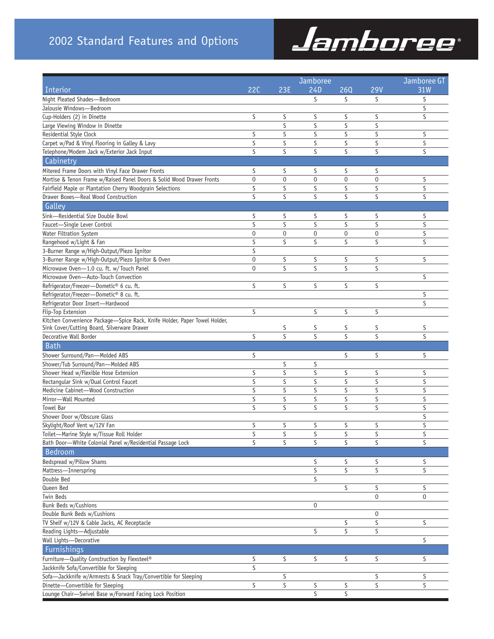# 2002 Standard Features and Options



|                                                                                                       |                  | Jamboree    | Jamboree GT             |             |             |        |
|-------------------------------------------------------------------------------------------------------|------------------|-------------|-------------------------|-------------|-------------|--------|
| Interior                                                                                              | <b>22C</b>       | 23E         | 24D                     | 260         | <b>29V</b>  | 31W    |
| Night Pleated Shades-Bedroom                                                                          |                  |             | S                       | S           | S           | S      |
| Jalousie Windows-Bedroom                                                                              |                  |             |                         |             |             | S      |
| Cup-Holders (2) in Dinette                                                                            | S                | S           | S                       | S           | S           | S      |
| Large Viewing Window in Dinette                                                                       |                  | S           | S                       | S           | S           |        |
| Residential Style Clock                                                                               | S                | S           | S                       | S           | S           | S      |
| Carpet w/Pad & Vinyl Flooring in Galley & Lavy                                                        | S                | S           | S                       | S           | S           | S      |
| Telephone/Modem Jack w/Exterior Jack Input                                                            | S                | S           | S                       | S           | S           | S      |
| Cabinetry                                                                                             |                  |             |                         |             |             |        |
| Mitered Frame Doors with Vinyl Face Drawer Fronts                                                     | S                | S           | S                       | S           | S           |        |
| Mortise & Tenon Frame w/Raised Panel Doors & Solid Wood Drawer Fronts                                 | $\boldsymbol{0}$ | $\mathbf 0$ | $\mathbf 0$             | $\mathbf 0$ | $\mathbf 0$ | S      |
| Fairfield Maple or Plantation Cherry Woodgrain Selections                                             | S                | S           | S                       | S           | S           | S      |
| Drawer Boxes-Real Wood Construction                                                                   | S                | S           | S                       | S           | S           | S      |
| Galley                                                                                                |                  |             |                         |             |             |        |
| Sink-Residential Size Double Bowl                                                                     | S                | S           | S                       | S           | S           | S      |
| Faucet-Single Lever Control                                                                           | S                | S           | S                       | S           | S           | S      |
| Water Filtration System                                                                               | $\pmb{0}$        | 0           | $\pmb{0}$               | 0           | 0           | S      |
| Rangehood w/Light & Fan                                                                               | S                | S           | S                       | S           | S           | S      |
| 3-Burner Range w/High-Output/Piezo Ignitor                                                            | S                |             |                         |             |             |        |
| 3-Burner Range w/High-Output/Piezo Ignitor & Oven                                                     | $\mathbf 0$      | S           | S                       | S           | S           | S      |
| Microwave Oven-1.0 cu. ft. w/Touch Panel                                                              | $\overline{0}$   | S           | S                       | S           | S           |        |
| Microwave Oven-Auto-Touch Convection                                                                  |                  |             |                         |             |             | S      |
| Refrigerator/Freezer-Dometic® 6 cu. ft.                                                               | S                | S           | S                       | S           | S           |        |
| Refrigerator/Freezer-Dometic® 8 cu. ft.                                                               |                  |             |                         |             |             | S      |
| Refrigerator Door Insert-Hardwood                                                                     |                  |             |                         |             |             | S      |
| Flip-Top Extension                                                                                    | S                |             | S                       | S           | S           |        |
| Kitchen Convenience Package-Spice Rack, Knife Holder, Paper Towel Holder,                             |                  |             |                         |             |             |        |
| Sink Cover/Cutting Board, Silverware Drawer                                                           |                  | S           | S                       | S           | S           | S      |
| Decorative Wall Border                                                                                | S                | S           | S                       | S           | S           | S      |
| <b>Bath</b>                                                                                           |                  |             |                         |             |             |        |
| Shower Surround/Pan-Molded ABS                                                                        | S                |             |                         | S           | S           | S      |
| Shower/Tub Surround/Pan-Molded ABS                                                                    |                  | S           | S                       |             |             |        |
| Shower Head w/Flexible Hose Extension                                                                 | S                | S           | S                       | S           | S           | S      |
| Rectangular Sink w/Dual Control Faucet                                                                | S                | S           | S                       | S           | S           | S      |
| Medicine Cabinet-Wood Construction                                                                    | S                | S           | S                       | S           | S           | S      |
| Mirror-Wall Mounted                                                                                   | S<br>S           | S<br>S      | S<br>S                  | S<br>S      | S<br>S      | S      |
| Towel Bar                                                                                             |                  |             |                         |             |             | S<br>S |
| Shower Door w/Obscure Glass                                                                           | S                |             | S                       | S           |             | S      |
| Skylight/Roof Vent w/12V Fan                                                                          |                  | S           |                         |             | S           |        |
| Toilet-Marine Style w/Tissue Roll Holder<br>Bath Door-White Colonial Panel w/Residential Passage Lock | S<br>S           | S<br>S      | S<br>S                  | S<br>S      | S<br>S      | S<br>S |
|                                                                                                       |                  |             |                         |             |             |        |
| Bedroom                                                                                               |                  |             |                         |             |             |        |
| Bedspread w/Pillow Shams                                                                              |                  |             | S                       | S           | S           | S      |
| Mattress-Innerspring                                                                                  |                  |             | $\overline{\mathsf{S}}$ | S           | S           | S      |
| Double Bed                                                                                            |                  |             | S                       |             |             |        |
| Queen Bed                                                                                             |                  |             |                         | S           | S           | S      |
| Twin Beds                                                                                             |                  |             |                         |             | 0           | 0      |
| Bunk Beds w/Cushions<br>Double Bunk Beds w/Cushions                                                   |                  |             | 0                       |             | 0           |        |
| TV Shelf w/12V & Cable Jacks, AC Receptacle                                                           |                  |             |                         | S           | S           | S      |
| Reading Lights-Adjustable                                                                             |                  |             | S                       | S           | S           |        |
| Wall Lights-Decorative                                                                                |                  |             |                         |             |             | S      |
|                                                                                                       |                  |             |                         |             |             |        |
| Furnishings                                                                                           |                  |             |                         |             |             |        |
| Furniture-Quality Construction by Flexsteel®                                                          | S<br>S           | S           | S                       | S           | S           | S      |
| Jackknife Sofa/Convertible for Sleeping                                                               |                  |             |                         |             |             |        |
| Sofa-Jackknife w/Armrests & Snack Tray/Convertible for Sleeping                                       | S                | S           |                         |             | S<br>S      | S<br>S |
| Dinette-Convertible for Sleeping                                                                      |                  | S           | S<br>S                  | S<br>S      |             |        |
| Lounge Chair-Swivel Base w/Forward Facing Lock Position                                               |                  |             |                         |             |             |        |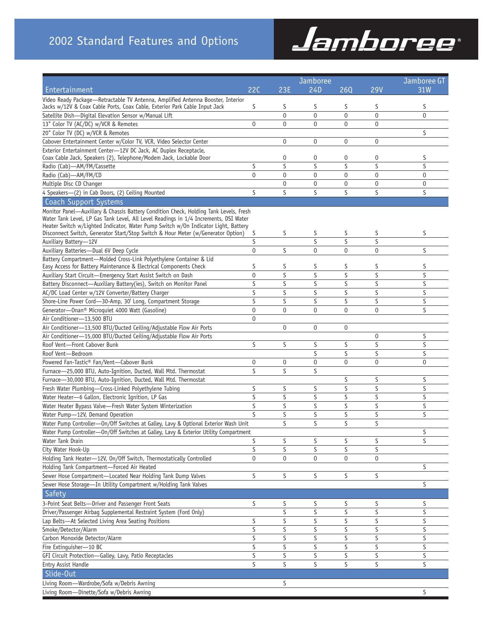# Jamboree®

|                                                                                                                                                                                                                                                                                                                                                         |                | Jamboree     |                |                  |                | Jamboree GT      |
|---------------------------------------------------------------------------------------------------------------------------------------------------------------------------------------------------------------------------------------------------------------------------------------------------------------------------------------------------------|----------------|--------------|----------------|------------------|----------------|------------------|
| Entertainment                                                                                                                                                                                                                                                                                                                                           | 22C            | 23E          | 24D            | 260              | <b>29V</b>     | 31W              |
| Video Ready Package-Retractable TV Antenna, Amplified Antenna Booster, Interior                                                                                                                                                                                                                                                                         | S              | S            | S              | S                | S              | S                |
| Jacks w/12V & Coax Cable Ports, Coax Cable, Exterior Park Cable Input Jack<br>Satellite Dish-Digital Elevation Sensor w/Manual Lift                                                                                                                                                                                                                     |                | $\mathbf{0}$ | $\overline{0}$ | $\mathbf{0}$     | $\overline{0}$ | $\overline{0}$   |
|                                                                                                                                                                                                                                                                                                                                                         | $\mathbf 0$    | $\mathbf{0}$ |                | $\mathbf{0}$     | 0              |                  |
| 13" Color TV (AC/DC) w/VCR & Remotes                                                                                                                                                                                                                                                                                                                    |                |              | 0              |                  |                |                  |
| 20" Color TV (DC) w/VCR & Remotes                                                                                                                                                                                                                                                                                                                       |                |              |                |                  |                | S                |
| Cabover Entertainment Center w/Color TV, VCR, Video Selector Center                                                                                                                                                                                                                                                                                     |                | $\mathbf 0$  | 0              | $\boldsymbol{0}$ | 0              |                  |
| Exterior Entertainment Center-12V DC Jack, AC Duplex Receptacle,<br>Coax Cable Jack, Speakers (2), Telephone/Modem Jack, Lockable Door                                                                                                                                                                                                                  |                | $\mathbf 0$  | 0              | 0                | 0              | S                |
| Radio (Cab)-AM/FM/Cassette                                                                                                                                                                                                                                                                                                                              | S              | S            | S              | S                | S              | S                |
| Radio (Cab)-AM/FM/CD                                                                                                                                                                                                                                                                                                                                    | $\mathbf 0$    | $\mathbf{0}$ | 0              | $\mathbf 0$      | $\overline{0}$ | $\pmb{0}$        |
| Multiple Disc CD Changer                                                                                                                                                                                                                                                                                                                                |                | $\mathbf{0}$ | 0              | $\pmb{0}$        | $\overline{0}$ | $\mathbf 0$      |
| 4 Speakers-(2) in Cab Doors, (2) Ceiling Mounted                                                                                                                                                                                                                                                                                                        | S              | S            | S              | S                | S              | S                |
| Coach Support Systems                                                                                                                                                                                                                                                                                                                                   |                |              |                |                  |                |                  |
| Monitor Panel—Auxiliary & Chassis Battery Condition Check, Holding Tank Levels, Fresh<br>Water Tank Level, LP Gas Tank Level, All Level Readings in 1/4 Increments, DSI Water<br>Heater Switch w/Lighted Indicator, Water Pump Switch w/On Indicator Light, Battery<br>Disconnect Switch, Generator Start/Stop Switch & Hour Meter (w/Generator Option) | S              | S            | S              | S                | S              | S                |
| Auxiliary Battery-12V                                                                                                                                                                                                                                                                                                                                   | S              |              | S              | S                | S              |                  |
| Auxiliary Batteries-Dual 6V Deep Cycle                                                                                                                                                                                                                                                                                                                  | $\mathbf 0$    | S            | 0              | $\mathbf 0$      | $\overline{0}$ | S                |
| Battery Compartment-Molded Cross-Link Polyethylene Container & Lid                                                                                                                                                                                                                                                                                      |                |              |                |                  |                |                  |
| Easy Access for Battery Maintenance & Electrical Components Check                                                                                                                                                                                                                                                                                       | S              | S            | S              | S                | S              | S                |
| Auxiliary Start Circuit-Emergency Start Assist Switch on Dash                                                                                                                                                                                                                                                                                           | $\mathbf 0$    | S            | S              | S                | S              | S                |
| Battery Disconnect-Auxiliary Battery(ies), Switch on Monitor Panel                                                                                                                                                                                                                                                                                      | S              | S            | S              | S                | S              | S                |
| AC/DC Load Center w/12V Converter/Battery Charger                                                                                                                                                                                                                                                                                                       | S              | S            | S              | S                | S              | S                |
| Shore-Line Power Cord-30-Amp, 30' Long, Compartment Storage                                                                                                                                                                                                                                                                                             | S              | S            | S              | S                | S              | S                |
| Generator-Onan <sup>®</sup> Microquiet 4000 Watt (Gasoline)                                                                                                                                                                                                                                                                                             | $\overline{0}$ | $\mathbf 0$  | 0              | $\mathbf{0}$     | $\overline{0}$ | S                |
| Air Conditioner-13,500 BTU                                                                                                                                                                                                                                                                                                                              | 0              |              |                |                  |                |                  |
| Air Conditioner-13,500 BTU/Ducted Ceiling/Adjustable Flow Air Ports                                                                                                                                                                                                                                                                                     |                | $\mathbf{0}$ | 0              | $\mathbf 0$      |                |                  |
| Air Conditioner-15,000 BTU/Ducted Ceiling/Adjustable Flow Air Ports                                                                                                                                                                                                                                                                                     |                |              |                |                  | 0              | S                |
| Roof Vent-Front Cabover Bunk                                                                                                                                                                                                                                                                                                                            | S              | S            | S              | S                | S              | S                |
| Roof Vent-Bedroom                                                                                                                                                                                                                                                                                                                                       |                |              | S              | S                | S              | S                |
| Powered Fan-Tastic® Fan/Vent-Cabover Bunk                                                                                                                                                                                                                                                                                                               | 0              | $\mathbf 0$  | 0              | $\mathbf{0}$     | $\overline{0}$ | $\boldsymbol{0}$ |
| Furnace-25,000 BTU, Auto-Ignition, Ducted, Wall Mtd. Thermostat                                                                                                                                                                                                                                                                                         | S              | S            | S              |                  |                |                  |
| Furnace-30,000 BTU, Auto-Ignition, Ducted, Wall Mtd. Thermostat                                                                                                                                                                                                                                                                                         |                |              |                | S                | S              | S                |
| Fresh Water Plumbing-Cross-Linked Polyethylene Tubing                                                                                                                                                                                                                                                                                                   | S              | S            | S              | S                | S              | S                |
| Water Heater-6 Gallon, Electronic Ignition, LP Gas                                                                                                                                                                                                                                                                                                      | S              | S            | S              | S                | S              | $\sf S$          |
| Water Heater Bypass Valve-Fresh Water System Winterization                                                                                                                                                                                                                                                                                              | S              | S            | S              | S                | S              | S                |
| Water Pump-12V, Demand Operation                                                                                                                                                                                                                                                                                                                        | S              | S            | S              | S                | S              | S                |
| Water Pump Controller-On/Off Switches at Galley, Lavy & Optional Exterior Wash Unit                                                                                                                                                                                                                                                                     |                | S            | S              | S                | S              |                  |
| Water Pump Controller-On/Off Switches at Galley, Lavy & Exterior Utility Compartment                                                                                                                                                                                                                                                                    |                |              |                |                  |                | S                |
| Water Tank Drain                                                                                                                                                                                                                                                                                                                                        | S              | S            | S              | S                | S              | S                |
| City Water Hook-Up                                                                                                                                                                                                                                                                                                                                      | S              | S            | S              | S                | S              |                  |
| Holding Tank Heater-12V, On/Off Switch, Thermostatically Controlled                                                                                                                                                                                                                                                                                     | 0              | $\pmb{0}$    | 0              | 0                | 0              |                  |
| Holding Tank Compartment-Forced Air Heated                                                                                                                                                                                                                                                                                                              |                |              |                |                  |                | S                |
| Sewer Hose Compartment-Located Near Holding Tank Dump Valves                                                                                                                                                                                                                                                                                            | S              | S            | S              | S                | S              |                  |
| Sewer Hose Storage-In Utility Compartment w/Holding Tank Valves                                                                                                                                                                                                                                                                                         |                |              |                |                  |                | S                |
| Safety                                                                                                                                                                                                                                                                                                                                                  |                |              |                |                  |                |                  |
| 3-Point Seat Belts-Driver and Passenger Front Seats                                                                                                                                                                                                                                                                                                     | S              | S            | S              | S                | S              | S                |
| Driver/Passenger Airbag Supplemental Restraint System (Ford Only)                                                                                                                                                                                                                                                                                       |                | S            | S              | S                | S              | S                |
| Lap Belts-At Selected Living Area Seating Positions                                                                                                                                                                                                                                                                                                     | S              | S            | S              | S                | S              | S                |
| Smoke/Detector/Alarm                                                                                                                                                                                                                                                                                                                                    | S              | S            | S              | S                | S              | S                |
| Carbon Monoxide Detector/Alarm                                                                                                                                                                                                                                                                                                                          | S              | S            | S              | S                | S              | S                |
| Fire Extinguisher-10 BC                                                                                                                                                                                                                                                                                                                                 | S              | S            | S              | S                | S              | S                |
| GFI Circuit Protection-Galley, Lavy, Patio Receptacles                                                                                                                                                                                                                                                                                                  | S              | $\sf S$      | S              | S                | S              | S                |
| Entry Assist Handle                                                                                                                                                                                                                                                                                                                                     | S              | S            | S              | S                | S              | S                |
| Slide-Out                                                                                                                                                                                                                                                                                                                                               |                |              |                |                  |                |                  |
| Living Room-Wardrobe/Sofa w/Debris Awning                                                                                                                                                                                                                                                                                                               |                | S            |                |                  |                |                  |
| Living Room-Dinette/Sofa w/Debris Awning                                                                                                                                                                                                                                                                                                                |                |              |                |                  |                | S                |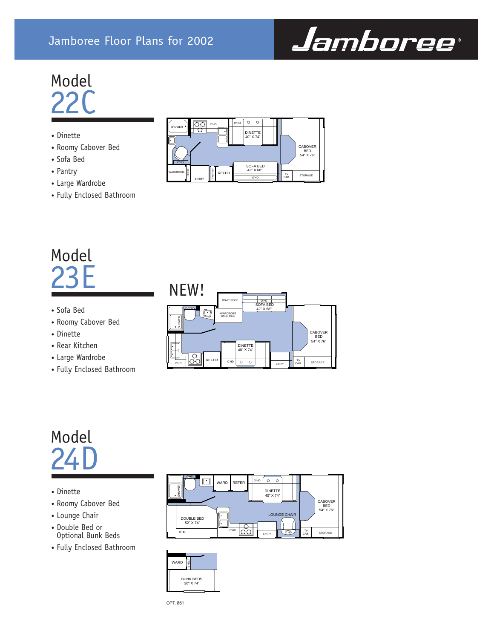# Jamboree Floor Plans for 2002



# Model  $22<sup>c</sup>$

- Dinette
- Roomy Cabover Bed
- Sofa Bed
- Pantry
- Large Wardrobe
- Fully Enclosed Bathroom

# Model 23E

- Sofa Bed
- Roomy Cabover Bed
- Dinette
- Rear Kitchen
- Large Wardrobe
- Fully Enclosed Bathroom



# Model 24D

- Dinette
- Roomy Cabover Bed
- Lounge Chair
- Double Bed or Optional Bunk Beds
- Fully Enclosed Bathroom





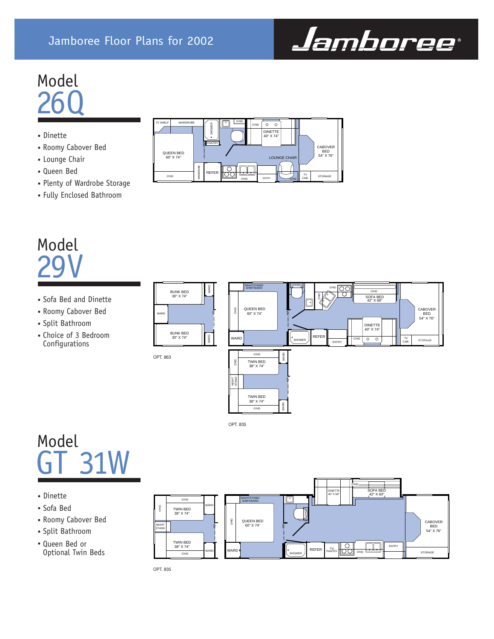

# Model 26Q

## • Dinette

- Roomy Cabover Bed
- Lounge Chair
- Queen Bed
- Plenty of Wardrobe Storage
- Fully Enclosed Bathroom

# Model 29V

- Sofa Bed and Dinette
- Roomy Cabover Bed
- Split Bathroom
- Choice of 3 Bedroom Configurations





OPT. 835

# Model GT 31W

- Dinette
- Sofa Bed
- Roomy Cabover Bed
- Split Bathroom
- Queen Bed or Optional Twin Beds



OPT. 835

WARD

OPT. 863

BUNK BED 30" X 74"

BUNK BED 30" X 74"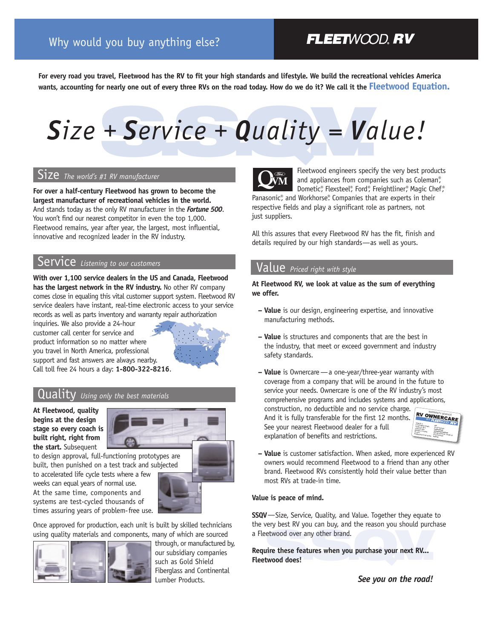# **FLEETWOOD, RV**

**For every road you travel, Fleetwood has the RV to fit your high standards and lifestyle. We build the recreational vehicles America wants, accounting for nearly one out of every three RVs on the road today. How do we do it? We call it the Fleetwood Equation.**

# + Service + Quality = Va *Size + Service + Quality = Value!*

### Size *The world's #1 RV manufacturer*

**For over a half-century Fleetwood has grown to become the largest manufacturer of recreational vehicles in the world.** And stands today as the only RV manufacturer in the *Fortune 500*. You won't find our nearest competitor in even the top 1,000. Fleetwood remains, year after year, the largest, most influential, innovative and recognized leader in the RV industry.

### **ACCO** Listening to our customers

**With over 1,100 service dealers in the US and Canada, Fleetwood has the largest network in the RV industry.** No other RV company comes close in equaling this vital customer support system. Fleetwood RV service dealers have instant, real-time electronic access to your service records as well as parts inventory and warranty repair authorization

inquiries. We also provide a 24-hour customer call center for service and product information so no matter where you travel in North America, professional support and fast answers are always nearby. Call toll free 24 hours a day: **1-800-322-8216**.



## **UALITY** Using only the best materials

**At Fleetwood, quality begins at the design stage so every coach is built right, right from the start.** Subsequent



built, then punished on a test track and subjected to accelerated life cycle tests where a few weeks can equal years of normal use.

At the same time, components and systems are test-cycled thousands of times assuring years of problem-free use.



Once approved for production, each unit is built by skilled technicians using quality materials and components, many of which are sourced



through, or manufactured by, our subsidiary companies such as Gold Shield Fiberglass and Continental Lumber Products.



Fleetwood engineers specify the very best products and appliances from companies such as Coleman®, Dometic®, Flexsteel®, Ford®, Freightliner®, Magic Chef®

Panasonic®, and Workhorse®. Companies that are experts in their respective fields and play a significant role as partners, not just suppliers.

All this assures that every Fleetwood RV has the fit, finish and details required by our high standards—as well as yours.

# Value *Priced right with style*

**At Fleetwood RV, we look at value as the sum of everything we offer.** 

- **Value** is our design, engineering expertise, and innovative manufacturing methods.
- **Value** is structures and components that are the best in the industry, that meet or exceed government and industry safety standards.
- **Value** is Ownercare—a one-year/three-year warranty with coverage from a company that will be around in the future to service your needs. Ownercare is one of the RV industry's most comprehensive programs and includes systems and applications,

construction, no deductible and no service charge. And it is fully transferable for the first 12 months. See your nearest Fleetwood dealer for a full explanation of benefits and restrictions.



**– Value** is customer satisfaction. When asked, more experienced RV owners would recommend Fleetwood to a friend than any other brand. Fleetwood RVs consistently hold their value better than most RVs at trade-in time.

#### **Value is peace of mind.**

**SSQV**—Size, Service, Quality, and Value. Together they equate to the very best RV you can buy, and the reason you should purchase a Fleetwood over any other brand.

**S.S.Q.V. Require these features when you purchase your next RV... Fleetwood does!**

*See you on the road!*